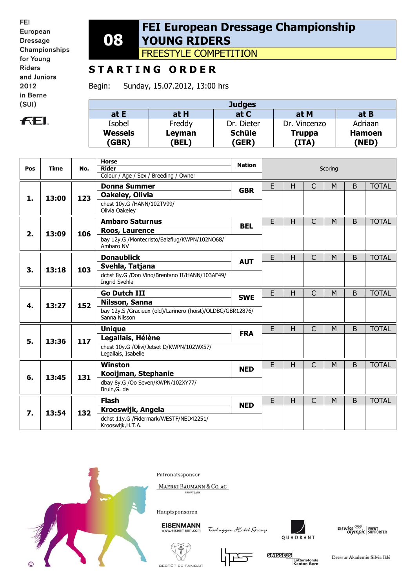**FEL** 

## **08 FEI European Dressage Championship YOUNG RIDERS**

FREESTYLE COMPETITION

## **S T A R T I N G O R D E R**

Begin: Sunday, 15.07.2012, 13:00 hrs

| <b>Judges</b>  |             |               |               |               |  |  |  |  |
|----------------|-------------|---------------|---------------|---------------|--|--|--|--|
| at E           | at H        | at C          | at M          | at B          |  |  |  |  |
| Isobel         | Freddy      | Dr. Dieter    | Dr. Vincenzo  | Adriaan       |  |  |  |  |
| <b>Wessels</b> | Leyman      | <b>Schüle</b> | <b>Truppa</b> | <b>Hamoen</b> |  |  |  |  |
| (GBR)          | <b>BEL)</b> | (GER)         | (ITA)         | (NED)         |  |  |  |  |

|     | <b>Time</b> | No. | <b>Horse</b><br><b>Rider</b>                                                | <b>Nation</b> |   |              |              |   |              |              |
|-----|-------------|-----|-----------------------------------------------------------------------------|---------------|---|--------------|--------------|---|--------------|--------------|
| Pos |             |     | Colour / Age / Sex / Breeding / Owner                                       |               |   | Scoring      |              |   |              |              |
|     |             |     | <b>Donna Summer</b>                                                         |               | E | H            | C            | M | <sub>B</sub> | <b>TOTAL</b> |
|     |             |     | Oakeley, Olivia                                                             | <b>GBR</b>    |   |              |              |   |              |              |
| 1.  | 13:00       | 123 | chest 10y.G /HANN/102TV99/<br>Olivia Oakeley                                |               |   |              |              |   |              |              |
|     |             |     | <b>Ambaro Saturnus</b>                                                      | <b>BEL</b>    | E | H            | C            | M | B            | <b>TOTAL</b> |
| 2.  | 13:09       | 106 | Roos, Laurence                                                              |               |   |              |              |   |              |              |
|     |             |     | bay 12y.G /Montecristo/Balzflug/KWPN/102NO68/<br>Ambaro NV                  |               |   |              |              |   |              |              |
|     | 13:18       | 103 | <b>Donaublick</b>                                                           | <b>AUT</b>    | E | $\mathsf{H}$ | C            | M | B            | <b>TOTAL</b> |
| 3.  |             |     | Svehla, Tatjana                                                             |               |   |              |              |   |              |              |
|     |             |     | dchst 8y.G /Don Vino/Brentano II/HANN/103AF49/<br>Ingrid Svehla             |               |   |              |              |   |              |              |
|     | 13:27       | 152 | <b>Go Dutch III</b>                                                         | <b>SWE</b>    | E | H            | Ċ            | M | B            | <b>TOTAL</b> |
| 4.  |             |     | Nilsson, Sanna                                                              |               |   |              |              |   |              |              |
|     |             |     | bay 12y.S /Gracieux (old)/Larinero (hoist)/OLDBG/GBR12876/<br>Sanna Nilsson |               |   |              |              |   |              |              |
|     | 13:36       | 117 | <b>Unique</b>                                                               | <b>FRA</b>    | E | H            | C            | M | <sub>B</sub> | <b>TOTAL</b> |
| 5.  |             |     | Legallais, Hélène                                                           |               |   |              |              |   |              |              |
|     |             |     | chest 10y.G /Olivi/Jetset D/KWPN/102WX57/<br>Legallais, Isabelle            |               |   |              |              |   |              |              |
|     | 13:45       | 131 | <b>Winston</b>                                                              | <b>NED</b>    | E | H            | $\mathsf{C}$ | M | <sub>B</sub> | <b>TOTAL</b> |
| 6.  |             |     | Kooijman, Stephanie                                                         |               |   |              |              |   |              |              |
|     |             |     | dbay 8y.G /Oo Seven/KWPN/102XY77/<br>Bruin, G. de                           |               |   |              |              |   |              |              |
|     | 13:54       | 132 | <b>Flash</b>                                                                | <b>NED</b>    | E | H            | C            | M | B            | <b>TOTAL</b> |
| 7.  |             |     | Krooswijk, Angela                                                           |               |   |              |              |   |              |              |
|     |             |     | dchst 11y.G /Fidermark/WESTF/NED42251/<br>Krooswijk, H.T.A.                 |               |   |              |              |   |              |              |



Patronatssponsor

MAERKI BAUMANN & CO. AG RIVATBAN

Hauptsponsoren

**EISENMANN** eisenmann.co

Tochuggen Hotel Group



 $\frac{1}{2}$  swiss  $\frac{1}{2}$  event of supporter





**GXISSIOS** Lotteriefonds<br>Kanton Bern

Dressur Akademie Silvia Iklé